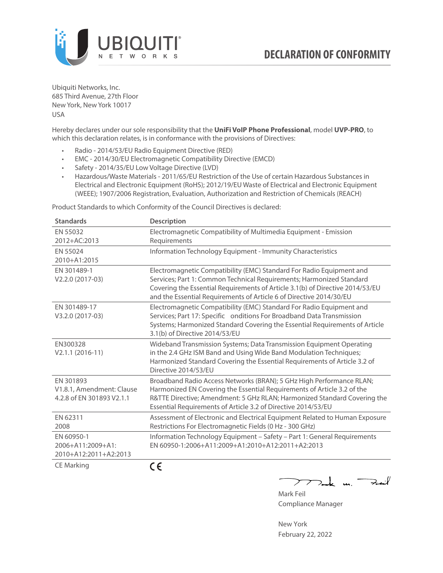

Ubiquiti Networks, Inc. 685 Third Avenue, 27th Floor New York, New York 10017 USA

Hereby declares under our sole responsibility that the **UniFi VoIP Phone Professional**, model **UVP-PRO**, to which this declaration relates, is in conformance with the provisions of Directives:

- Radio 2014/53/EU Radio Equipment Directive (RED)
- EMC 2014/30/EU Electromagnetic Compatibility Directive (EMCD)
- Safety 2014/35/EU Low Voltage Directive (LVD)
- Hazardous/Waste Materials 2011/65/EU Restriction of the Use of certain Hazardous Substances in Electrical and Electronic Equipment (RoHS); 2012/19/EU Waste of Electrical and Electronic Equipment (WEEE); 1907/2006 Registration, Evaluation, Authorization and Restriction of Chemicals (REACH)

Product Standards to which Conformity of the Council Directives is declared:

| <b>Standards</b>                                                    | <b>Description</b>                                                                                                                                                                                                                                                                                   |
|---------------------------------------------------------------------|------------------------------------------------------------------------------------------------------------------------------------------------------------------------------------------------------------------------------------------------------------------------------------------------------|
| EN 55032<br>2012+AC:2013                                            | Electromagnetic Compatibility of Multimedia Equipment - Emission<br>Requirements                                                                                                                                                                                                                     |
| EN 55024<br>2010+A1:2015                                            | Information Technology Equipment - Immunity Characteristics                                                                                                                                                                                                                                          |
| EN 301489-1<br>V2.2.0 (2017-03)                                     | Electromagnetic Compatibility (EMC) Standard For Radio Equipment and<br>Services; Part 1: Common Technical Requirements; Harmonized Standard<br>Covering the Essential Requirements of Article 3.1(b) of Directive 2014/53/EU<br>and the Essential Requirements of Article 6 of Directive 2014/30/EU |
| EN 301489-17<br>V3.2.0 (2017-03)                                    | Electromagnetic Compatibility (EMC) Standard For Radio Equipment and<br>Services; Part 17: Specific onditions For Broadband Data Transmission<br>Systems; Harmonized Standard Covering the Essential Requirements of Article<br>3.1(b) of Directive 2014/53/EU                                       |
| EN300328<br>$V2.1.1 (2016-11)$                                      | Wideband Transmission Systems; Data Transmission Equipment Operating<br>in the 2.4 GHz ISM Band and Using Wide Band Modulation Techniques;<br>Harmonized Standard Covering the Essential Requirements of Article 3.2 of<br>Directive 2014/53/EU                                                      |
| EN 301893<br>V1.8.1, Amendment: Clause<br>4.2.8 of EN 301893 V2.1.1 | Broadband Radio Access Networks (BRAN); 5 GHz High Performance RLAN;<br>Harmonized EN Covering the Essential Requirements of Article 3.2 of the<br>R&TTE Directive; Amendment: 5 GHz RLAN; Harmonized Standard Covering the<br>Essential Requirements of Article 3.2 of Directive 2014/53/EU         |
| EN 62311<br>2008                                                    | Assessment of Electronic and Electrical Equipment Related to Human Exposure<br>Restrictions For Electromagnetic Fields (0 Hz - 300 GHz)                                                                                                                                                              |
| EN 60950-1<br>2006+A11:2009+A1:<br>2010+A12:2011+A2:2013            | Information Technology Equipment - Safety - Part 1: General Requirements<br>EN 60950-1:2006+A11:2009+A1:2010+A12:2011+A2:2013                                                                                                                                                                        |
| <b>CE Marking</b>                                                   | CE                                                                                                                                                                                                                                                                                                   |

 $>$   $\sim$   $\sim$ للنعية

Mark Feil Compliance Manager

New York February 22, 2022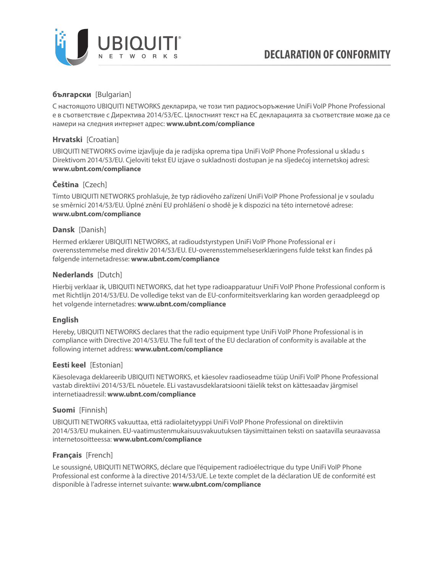

# **български** [Bulgarian]

С настоящото UBIQUITI NETWORKS декларира, че този тип радиосъоръжение UniFi VoIP Phone Professional е в съответствие с Директива 2014/53/ЕС. Цялостният текст на ЕС декларацията за съответствие може да се намери на следния интернет адрес: **[www.ubnt.com/compliance](http://www.ubnt.com/compliance)**

# **Hrvatski** [Croatian]

UBIQUITI NETWORKS ovime izjavljuje da je radijska oprema tipa UniFi VoIP Phone Professional u skladu s Direktivom 2014/53/EU. Cjeloviti tekst EU izjave o sukladnosti dostupan je na sljedećoj internetskoj adresi: **[www.ubnt.com/compliance](http://www.ubnt.com/compliance)**

# **Čeština** [Czech]

Tímto UBIQUITI NETWORKS prohlašuje, že typ rádiového zařízení UniFi VoIP Phone Professional je v souladu se směrnicí 2014/53/EU. Úplné znění EU prohlášení o shodě je k dispozici na této internetové adrese: **[www.ubnt.com/compliance](http://www.ubnt.com/compliance)**

### **Dansk** [Danish]

Hermed erklærer UBIQUITI NETWORKS, at radioudstyrstypen UniFi VoIP Phone Professional er i overensstemmelse med direktiv 2014/53/EU. EU‑overensstemmelseserklæringens fulde tekst kan findes på følgende internetadresse: **[www.ubnt.com/compliance](http://www.ubnt.com/compliance)**

## **Nederlands** [Dutch]

Hierbij verklaar ik, UBIQUITI NETWORKS, dat het type radioapparatuur UniFi VoIP Phone Professional conform is met Richtlijn 2014/53/EU. De volledige tekst van de EU‑conformiteitsverklaring kan worden geraadpleegd op het volgende internetadres: **[www.ubnt.com/compliance](http://www.ubnt.com/compliance)**

## **English**

Hereby, UBIQUITI NETWORKS declares that the radio equipment type UniFi VoIP Phone Professional is in compliance with Directive 2014/53/EU. The full text of the EU declaration of conformity is available at the following internet address: **[www.ubnt.com/compliance](http://www.ubnt.com/compliance)**

### **Eesti keel** [Estonian]

Käesolevaga deklareerib UBIQUITI NETWORKS, et käesolev raadioseadme tüüp UniFi VoIP Phone Professional vastab direktiivi 2014/53/EL nõuetele. ELi vastavusdeklaratsiooni täielik tekst on kättesaadav järgmisel internetiaadressil: **[www.ubnt.com/compliance](http://www.ubnt.com/compliance)**

## **Suomi** [Finnish]

UBIQUITI NETWORKS vakuuttaa, että radiolaitetyyppi UniFi VoIP Phone Professional on direktiivin 2014/53/EU mukainen. EU‑vaatimustenmukaisuusvakuutuksen täysimittainen teksti on saatavilla seuraavassa internetosoitteessa: **[www.ubnt.com/compliance](http://www.ubnt.com/compliance)**

## **Français** [French]

Le soussigné, UBIQUITI NETWORKS, déclare que l'équipement radioélectrique du type UniFi VoIP Phone Professional est conforme à la directive 2014/53/UE. Le texte complet de la déclaration UE de conformité est disponible à l'adresse internet suivante: **[www.ubnt.com/compliance](http://www.ubnt.com/compliance)**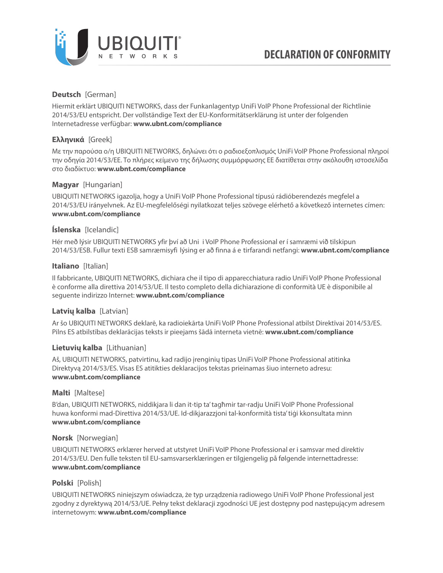

## **Deutsch** [German]

Hiermit erklärt UBIQUITI NETWORKS, dass der Funkanlagentyp UniFi VoIP Phone Professional der Richtlinie 2014/53/EU entspricht. Der vollständige Text der EU‑Konformitätserklärung ist unter der folgenden Internetadresse verfügbar: **[www.ubnt.com/compliance](http://www.ubnt.com/compliance)**

# **Ελληνικά** [Greek]

Με την παρούσα ο/η UBIQUITI NETWORKS, δηλώνει ότι ο ραδιοεξοπλισµός UniFi VoIP Phone Professional πληροί την οδηγία 2014/53/ΕΕ. Το πλήρες κείµενο της δήλωσης συµµόρφωσης ΕΕ διατίθεται στην ακόλουθη ιστοσελίδα στο διαδίκτυο: **[www.ubnt.com/compliance](http://www.ubnt.com/compliance)**

## **Magyar** [Hungarian]

UBIQUITI NETWORKS igazolja, hogy a UniFi VoIP Phone Professional típusú rádióberendezés megfelel a 2014/53/EU irányelvnek. Az EU‑megfelelőségi nyilatkozat teljes szövege elérhető a következő internetes címen: **[www.ubnt.com/compliance](http://www.ubnt.com/compliance)**

## **Íslenska** [Icelandic]

Hér með lýsir UBIQUITI NETWORKS yfir því að Uni i VoIP Phone Professional er í samræmi við tilskipun 2014/53/ESB. Fullur texti ESB samræmisyfi lýsing er að finna á e tirfarandi netfangi: **[www.ubnt.com/compliance](http://www.ubnt.com/compliance)**

### **Italiano** [Italian]

Il fabbricante, UBIQUITI NETWORKS, dichiara che il tipo di apparecchiatura radio UniFi VoIP Phone Professional è conforme alla direttiva 2014/53/UE. Il testo completo della dichiarazione di conformità UE è disponibile al seguente indirizzo Internet: **[www.ubnt.com/compliance](http://www.ubnt.com/compliance)**

## **Latvių kalba** [Latvian]

Ar šo UBIQUITI NETWORKS deklarē, ka radioiekārta UniFi VoIP Phone Professional atbilst Direktīvai 2014/53/ES. Pilns ES atbilstības deklarācijas teksts ir pieejams šādā interneta vietnē: **[www.ubnt.com/compliance](http://www.ubnt.com/compliance)**

### **Lietuvių kalba** [Lithuanian]

Aš, UBIQUITI NETWORKS, patvirtinu, kad radijo įrenginių tipas UniFi VoIP Phone Professional atitinka Direktyvą 2014/53/ES. Visas ES atitikties deklaracijos tekstas prieinamas šiuo interneto adresu: **[www.ubnt.com/compliance](http://www.ubnt.com/compliance)**

### **Malti** [Maltese]

B'dan, UBIQUITI NETWORKS, niddikjara li dan it-tip ta' tagħmir tar-radju UniFi VoIP Phone Professional huwa konformi mad‑Direttiva 2014/53/UE. Id‑dikjarazzjoni tal‑konformità tista' tiġi kkonsultata minn **[www.ubnt.com/compliance](http://www.ubnt.com/compliance)**

### **Norsk** [Norwegian]

UBIQUITI NETWORKS erklærer herved at utstyret UniFi VoIP Phone Professional er i samsvar med direktiv 2014/53/EU. Den fulle teksten til EU‑samsvarserklæringen er tilgjengelig på følgende internettadresse: **[www.ubnt.com/compliance](http://www.ubnt.com/compliance)**

## **Polski** [Polish]

UBIQUITI NETWORKS niniejszym oświadcza, że typ urządzenia radiowego UniFi VoIP Phone Professional jest zgodny z dyrektywą 2014/53/UE. Pełny tekst deklaracji zgodności UE jest dostępny pod następującym adresem internetowym: **[www.ubnt.com/compliance](http://www.ubnt.com/compliance)**